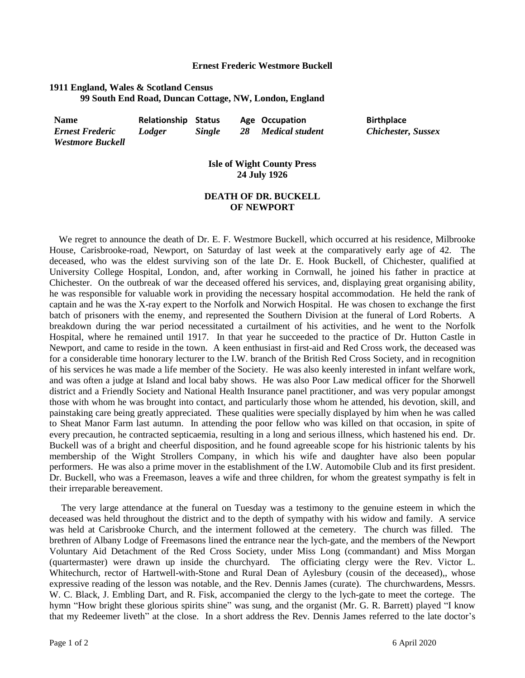## **Ernest Frederic Westmore Buckell**

## **1911 England, Wales & Scotland Census 99 South End Road, Duncan Cottage, NW, London, England**

| <b>Name</b>            | <b>Relationship Status</b> |               |    | Age Occupation  | <b>Birthplace</b>         |
|------------------------|----------------------------|---------------|----|-----------------|---------------------------|
| <b>Ernest Frederic</b> | Lodger                     | <b>Single</b> | 28 | Medical student | <b>Chichester, Sussex</b> |
| Westmore Ruckell       |                            |               |    |                 |                           |

## **Isle of Wight County Press 24 July 1926**

## **DEATH OF DR. BUCKELL OF NEWPORT**

We regret to announce the death of Dr. E. F. Westmore Buckell, which occurred at his residence, Milbrooke House, Carisbrooke-road, Newport, on Saturday of last week at the comparatively early age of 42. The deceased, who was the eldest surviving son of the late Dr. E. Hook Buckell, of Chichester, qualified at University College Hospital, London, and, after working in Cornwall, he joined his father in practice at Chichester. On the outbreak of war the deceased offered his services, and, displaying great organising ability, he was responsible for valuable work in providing the necessary hospital accommodation. He held the rank of captain and he was the X-ray expert to the Norfolk and Norwich Hospital. He was chosen to exchange the first batch of prisoners with the enemy, and represented the Southern Division at the funeral of Lord Roberts. A breakdown during the war period necessitated a curtailment of his activities, and he went to the Norfolk Hospital, where he remained until 1917. In that year he succeeded to the practice of Dr. Hutton Castle in Newport, and came to reside in the town. A keen enthusiast in first-aid and Red Cross work, the deceased was for a considerable time honorary lecturer to the I.W. branch of the British Red Cross Society, and in recognition of his services he was made a life member of the Society. He was also keenly interested in infant welfare work, and was often a judge at Island and local baby shows. He was also Poor Law medical officer for the Shorwell district and a Friendly Society and National Health Insurance panel practitioner, and was very popular amongst those with whom he was brought into contact, and particularly those whom he attended, his devotion, skill, and painstaking care being greatly appreciated. These qualities were specially displayed by him when he was called to Sheat Manor Farm last autumn. In attending the poor fellow who was killed on that occasion, in spite of every precaution, he contracted septicaemia, resulting in a long and serious illness, which hastened his end. Dr. Buckell was of a bright and cheerful disposition, and he found agreeable scope for his histrionic talents by his membership of the Wight Strollers Company, in which his wife and daughter have also been popular performers. He was also a prime mover in the establishment of the I.W. Automobile Club and its first president. Dr. Buckell, who was a Freemason, leaves a wife and three children, for whom the greatest sympathy is felt in their irreparable bereavement.

 The very large attendance at the funeral on Tuesday was a testimony to the genuine esteem in which the deceased was held throughout the district and to the depth of sympathy with his widow and family. A service was held at Carisbrooke Church, and the interment followed at the cemetery. The church was filled. The brethren of Albany Lodge of Freemasons lined the entrance near the lych-gate, and the members of the Newport Voluntary Aid Detachment of the Red Cross Society, under Miss Long (commandant) and Miss Morgan (quartermaster) were drawn up inside the churchyard. The officiating clergy were the Rev. Victor L. Whitechurch, rector of Hartwell-with-Stone and Rural Dean of Aylesbury (cousin of the deceased),, whose expressive reading of the lesson was notable, and the Rev. Dennis James (curate). The churchwardens, Messrs. W. C. Black, J. Embling Dart, and R. Fisk, accompanied the clergy to the lych-gate to meet the cortege. The hymn "How bright these glorious spirits shine" was sung, and the organist (Mr. G. R. Barrett) played "I know that my Redeemer liveth" at the close. In a short address the Rev. Dennis James referred to the late doctor's